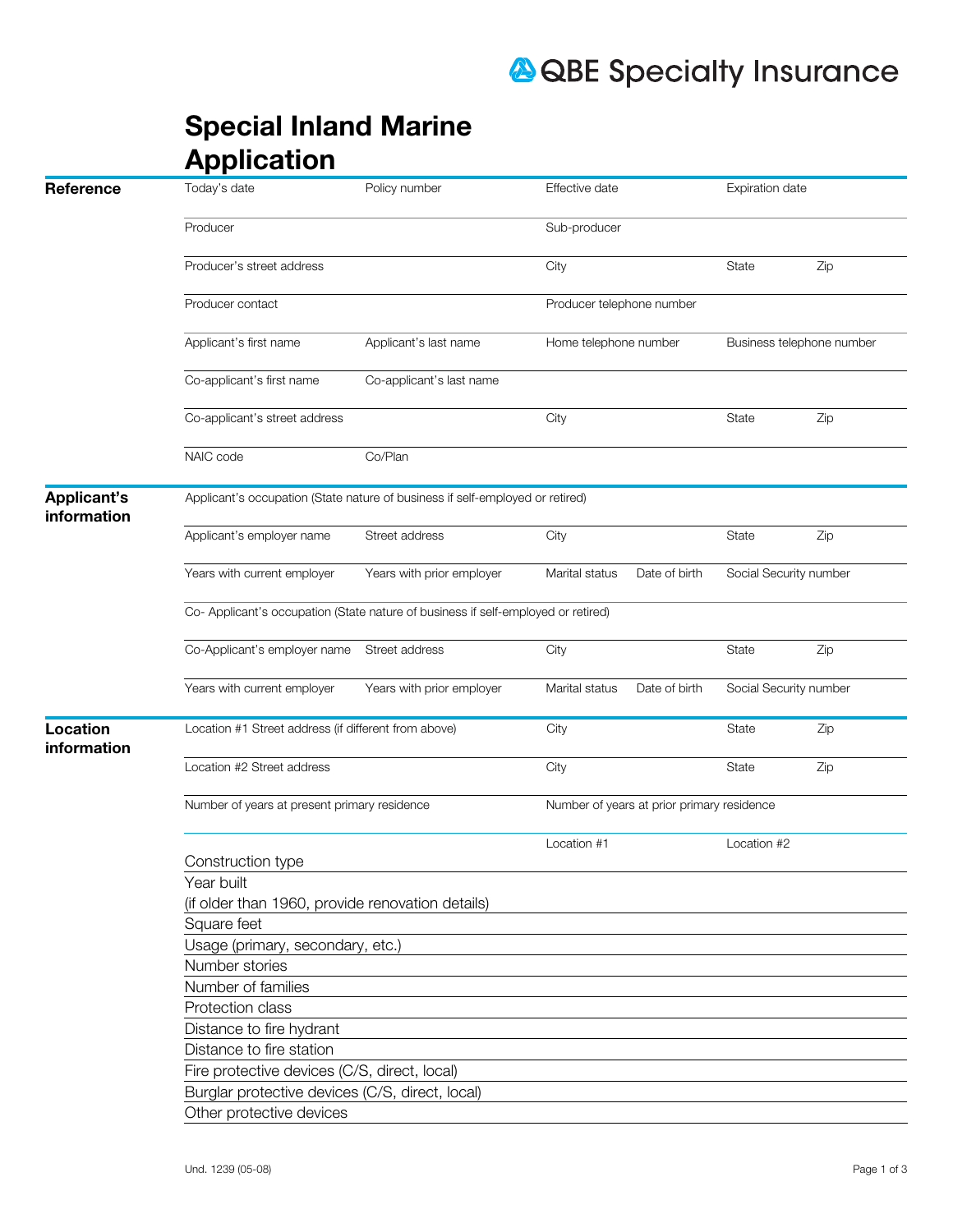## **A QBE Specialty Insurance**

|                                   | <b>Special Inland Marine</b>                                                      |                           |                                            |                           |     |  |  |  |
|-----------------------------------|-----------------------------------------------------------------------------------|---------------------------|--------------------------------------------|---------------------------|-----|--|--|--|
|                                   | <b>Application</b>                                                                |                           |                                            |                           |     |  |  |  |
| Reference                         | Today's date                                                                      | Policy number             | Effective date                             | Expiration date           |     |  |  |  |
|                                   | Producer                                                                          |                           | Sub-producer                               |                           |     |  |  |  |
|                                   | Producer's street address                                                         |                           | City                                       | <b>State</b>              | Zip |  |  |  |
|                                   | Producer contact                                                                  |                           | Producer telephone number                  |                           |     |  |  |  |
|                                   | Applicant's first name                                                            | Applicant's last name     | Home telephone number                      | Business telephone number |     |  |  |  |
|                                   | Co-applicant's first name                                                         | Co-applicant's last name  |                                            |                           |     |  |  |  |
|                                   | Co-applicant's street address                                                     |                           | City                                       | <b>State</b>              | Zip |  |  |  |
|                                   | NAIC code                                                                         | Co/Plan                   |                                            |                           |     |  |  |  |
| <b>Applicant's</b><br>information | Applicant's occupation (State nature of business if self-employed or retired)     |                           |                                            |                           |     |  |  |  |
|                                   | Applicant's employer name                                                         | Street address            | City                                       | <b>State</b>              | Zip |  |  |  |
|                                   | Years with current employer                                                       | Years with prior employer | Marital status<br>Date of birth            | Social Security number    |     |  |  |  |
|                                   | Co- Applicant's occupation (State nature of business if self-employed or retired) |                           |                                            |                           |     |  |  |  |
|                                   | Co-Applicant's employer name                                                      | Street address            | City                                       | <b>State</b>              | Zip |  |  |  |
|                                   | Years with current employer                                                       | Years with prior employer | Marital status<br>Date of birth            | Social Security number    |     |  |  |  |
| Location                          | Location #1 Street address (if different from above)                              |                           | City                                       | State                     | Zip |  |  |  |
| information                       | Location #2 Street address                                                        |                           | City                                       | <b>State</b>              | Zip |  |  |  |
|                                   | Number of years at present primary residence                                      |                           | Number of years at prior primary residence |                           |     |  |  |  |
|                                   |                                                                                   |                           | Location #1                                | Location #2               |     |  |  |  |
|                                   | Construction type<br>Year built                                                   |                           |                                            |                           |     |  |  |  |
|                                   | (if older than 1960, provide renovation details)                                  |                           |                                            |                           |     |  |  |  |
|                                   | Square feet                                                                       |                           |                                            |                           |     |  |  |  |
|                                   | Usage (primary, secondary, etc.)                                                  |                           |                                            |                           |     |  |  |  |
|                                   | Number stories                                                                    |                           |                                            |                           |     |  |  |  |
|                                   | Number of families                                                                |                           |                                            |                           |     |  |  |  |
|                                   | Protection class                                                                  |                           |                                            |                           |     |  |  |  |
|                                   | Distance to fire hydrant                                                          |                           |                                            |                           |     |  |  |  |
|                                   | Distance to fire station                                                          |                           |                                            |                           |     |  |  |  |
|                                   | Fire protective devices (C/S, direct, local)                                      |                           |                                            |                           |     |  |  |  |
|                                   | Burglar protective devices (C/S, direct, local)                                   |                           |                                            |                           |     |  |  |  |
|                                   | Other protective devices                                                          |                           |                                            |                           |     |  |  |  |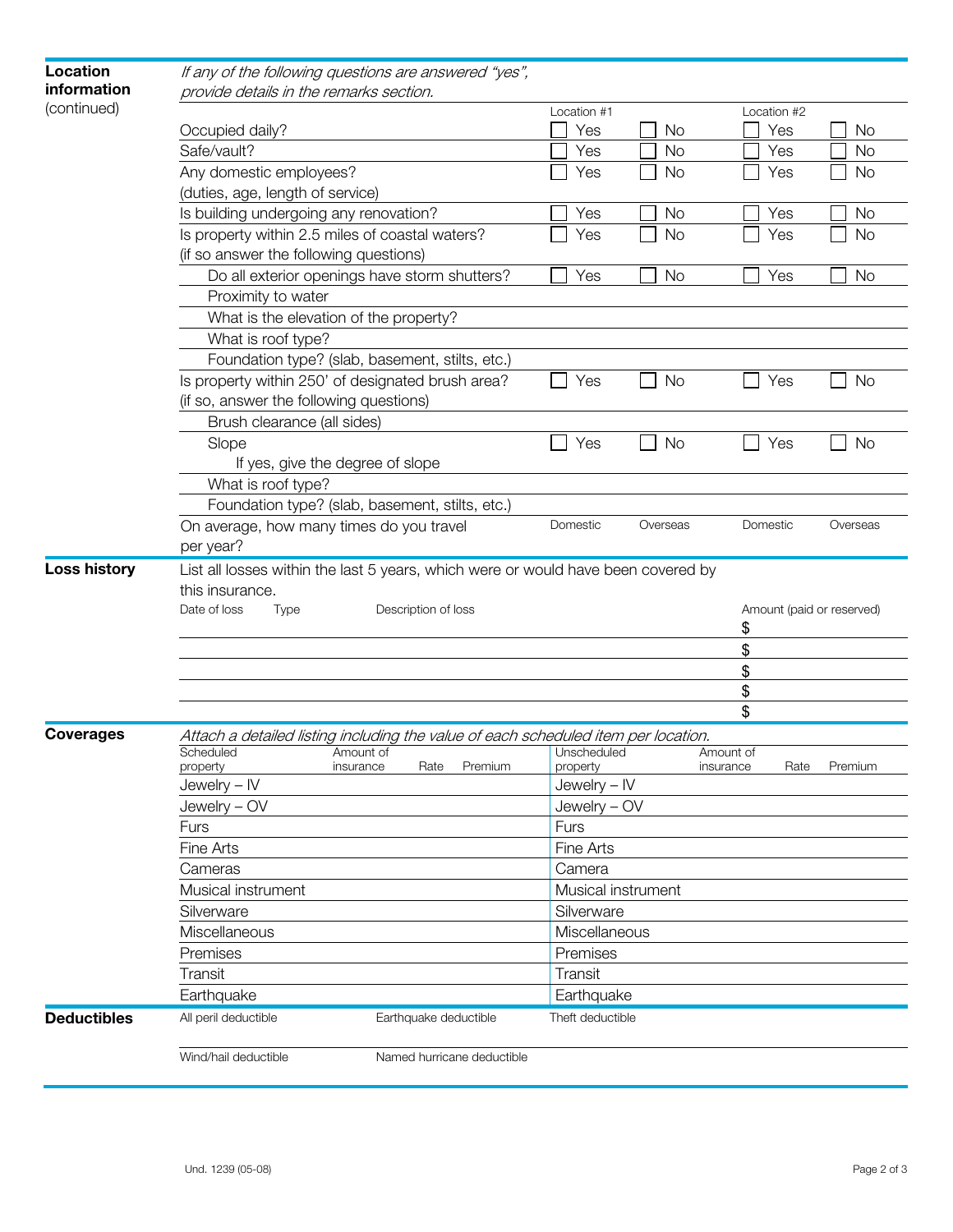| Location            | If any of the following questions are answered "yes",                              |                            |           |                   |           |  |  |
|---------------------|------------------------------------------------------------------------------------|----------------------------|-----------|-------------------|-----------|--|--|
| information         | provide details in the remarks section.                                            |                            |           |                   |           |  |  |
| (continued)         |                                                                                    | Location #1                |           | Location #2       |           |  |  |
|                     | Occupied daily?                                                                    | Yes                        | <b>No</b> | Yes               | <b>No</b> |  |  |
|                     | Safe/vault?                                                                        | Yes                        | <b>No</b> | Yes               | <b>No</b> |  |  |
|                     | Any domestic employees?                                                            | Yes                        | <b>No</b> | Yes               | <b>No</b> |  |  |
|                     | (duties, age, length of service)                                                   |                            |           |                   |           |  |  |
|                     | Is building undergoing any renovation?                                             | Yes                        | <b>No</b> | Yes               | <b>No</b> |  |  |
|                     | Is property within 2.5 miles of coastal waters?                                    | Yes                        | <b>No</b> | Yes               | <b>No</b> |  |  |
|                     | (if so answer the following questions)                                             |                            |           |                   |           |  |  |
|                     | Do all exterior openings have storm shutters?                                      | Yes                        | <b>No</b> | Yes               | <b>No</b> |  |  |
|                     | Proximity to water                                                                 |                            |           |                   |           |  |  |
|                     | What is the elevation of the property?                                             |                            |           |                   |           |  |  |
|                     | What is roof type?                                                                 |                            |           |                   |           |  |  |
|                     | Foundation type? (slab, basement, stilts, etc.)                                    |                            |           |                   |           |  |  |
|                     | Is property within 250' of designated brush area?                                  | Yes                        | <b>No</b> | Yes               | No        |  |  |
|                     | (if so, answer the following questions)                                            |                            |           |                   |           |  |  |
|                     | Brush clearance (all sides)                                                        |                            |           |                   |           |  |  |
|                     | Slope                                                                              | Yes                        | <b>No</b> | Yes               | No        |  |  |
|                     | If yes, give the degree of slope                                                   |                            |           |                   |           |  |  |
|                     | What is roof type?                                                                 |                            |           |                   |           |  |  |
|                     | Foundation type? (slab, basement, stilts, etc.)                                    |                            |           |                   |           |  |  |
|                     | On average, how many times do you travel                                           | Domestic                   | Overseas  | Domestic          | Overseas  |  |  |
|                     | per year?                                                                          |                            |           |                   |           |  |  |
| <b>Loss history</b> | List all losses within the last 5 years, which were or would have been covered by  |                            |           |                   |           |  |  |
|                     | this insurance.                                                                    |                            |           |                   |           |  |  |
|                     | Date of loss<br>Description of loss<br><b>Type</b>                                 | Amount (paid or reserved)  |           |                   |           |  |  |
|                     |                                                                                    |                            | \$        |                   |           |  |  |
|                     | \$                                                                                 |                            |           |                   |           |  |  |
|                     |                                                                                    |                            |           | \$                |           |  |  |
|                     |                                                                                    |                            |           | \$                |           |  |  |
|                     |                                                                                    |                            |           | \$                |           |  |  |
| <b>Coverages</b>    | Attach a detailed listing including the value of each scheduled item per location. |                            |           |                   |           |  |  |
|                     | Scheduled<br>Amount of                                                             | Unscheduled                |           | Amount of         |           |  |  |
|                     | Rate<br>Premium<br>insurance<br>property<br>Jewelry - IV                           | property<br>$Jewelry - IV$ |           | Rate<br>insurance | Premium   |  |  |
|                     | Jewelry - OV                                                                       | Jewelry - OV               |           |                   |           |  |  |
|                     |                                                                                    |                            |           |                   |           |  |  |
|                     | Furs                                                                               | Furs                       |           |                   |           |  |  |
|                     | <b>Fine Arts</b>                                                                   | Fine Arts                  |           |                   |           |  |  |
|                     | Cameras                                                                            | Camera                     |           |                   |           |  |  |
|                     | Musical instrument                                                                 | Musical instrument         |           |                   |           |  |  |
|                     | Silverware                                                                         | Silverware                 |           |                   |           |  |  |
|                     | Miscellaneous                                                                      | Miscellaneous              |           |                   |           |  |  |
|                     | Premises                                                                           | Premises                   |           |                   |           |  |  |
|                     | Transit                                                                            | Transit                    |           |                   |           |  |  |
|                     | Earthquake                                                                         | Earthquake                 |           |                   |           |  |  |
| <b>Deductibles</b>  | All peril deductible<br>Earthquake deductible                                      | Theft deductible           |           |                   |           |  |  |
|                     | Wind/hail deductible<br>Named hurricane deductible                                 |                            |           |                   |           |  |  |
|                     |                                                                                    |                            |           |                   |           |  |  |